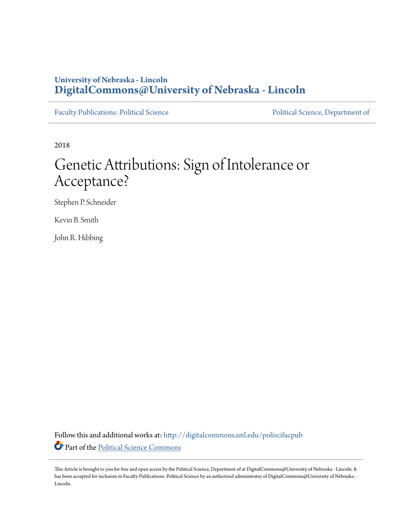### **University of Nebraska - Lincoln [DigitalCommons@University of Nebraska - Lincoln](http://digitalcommons.unl.edu?utm_source=digitalcommons.unl.edu%2Fpoliscifacpub%2F96&utm_medium=PDF&utm_campaign=PDFCoverPages)**

[Faculty Publications: Political Science](http://digitalcommons.unl.edu/poliscifacpub?utm_source=digitalcommons.unl.edu%2Fpoliscifacpub%2F96&utm_medium=PDF&utm_campaign=PDFCoverPages) [Political Science, Department of](http://digitalcommons.unl.edu/politicalscience?utm_source=digitalcommons.unl.edu%2Fpoliscifacpub%2F96&utm_medium=PDF&utm_campaign=PDFCoverPages)

2018

## Genetic Attributions: Sign of Intolerance or Acceptance?

Stephen P. Schneider

Kevin B. Smith

John R. Hibbing

Follow this and additional works at: [http://digitalcommons.unl.edu/poliscifacpub](http://digitalcommons.unl.edu/poliscifacpub?utm_source=digitalcommons.unl.edu%2Fpoliscifacpub%2F96&utm_medium=PDF&utm_campaign=PDFCoverPages) Part of the [Political Science Commons](http://network.bepress.com/hgg/discipline/386?utm_source=digitalcommons.unl.edu%2Fpoliscifacpub%2F96&utm_medium=PDF&utm_campaign=PDFCoverPages)

This Article is brought to you for free and open access by the Political Science, Department of at DigitalCommons@University of Nebraska - Lincoln. It has been accepted for inclusion in Faculty Publications: Political Science by an authorized administrator of DigitalCommons@University of Nebraska - Lincoln.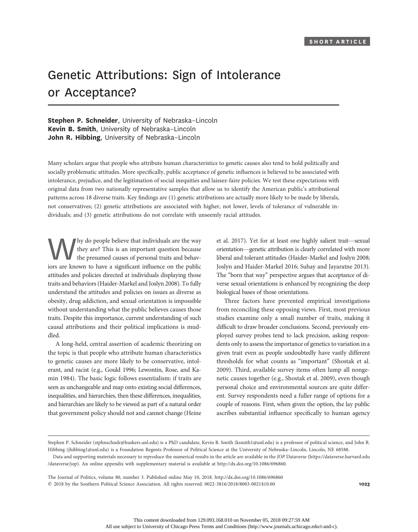# Genetic Attributions: Sign of Intolerance<br>or Acceptance? or Acceptance?

Stephen P. Schneider, University of Nebraska-Lincoln Kevin B. Smith, University of Nebraska–Lincoln John R. Hibbing, University of Nebraska-Lincoln

Many scholars argue that people who attribute human characteristics to genetic causes also tend to hold politically and socially problematic attitudes. More specifically, public acceptance of genetic influences is believed to be associated with intolerance, prejudice, and the legitimation of social inequities and laissez-faire policies. We test these expectations with original data from two nationally representative samples that allow us to identify the American public's attributional patterns across 18 diverse traits. Key findings are (1) genetic attributions are actually more likely to be made by liberals, not conservatives; (2) genetic attributions are associated with higher, not lower, levels of tolerance of vulnerable individuals; and (3) genetic attributions do not correlate with unseemly racial attitudes.

Why do people believe that individuals are the way<br>they are? This is an important question because<br>the presumed causes of personal traits and behav-<br>iors are known to have a significant influence on the public they are? This is an important question because the presumed causes of personal traits and behaviors are known to have a significant influence on the public attitudes and policies directed at individuals displaying those traits and behaviors (Haider-Markel and Joslyn 2008). To fully understand the attitudes and policies on issues as diverse as obesity, drug addiction, and sexual orientation is impossible without understanding what the public believes causes those traits. Despite this importance, current understanding of such causal attributions and their political implications is muddled.

A long-held, central assertion of academic theorizing on the topic is that people who attribute human characteristics to genetic causes are more likely to be conservative, intolerant, and racist (e.g., Gould 1996; Lewontin, Rose, and Kamin 1984). The basic logic follows essentialism: if traits are seen as unchangeable and map onto existing social differences, inequalities, and hierarchies, then these differences, inequalities, and hierarchies are likely to be viewed as part of a natural order that government policy should not and cannot change (Heine et al. 2017). Yet for at least one highly salient trait—sexual orientation—genetic attribution is clearly correlated with more liberal and tolerant attitudes (Haider-Markel and Joslyn 2008; Joslyn and Haider-Markel 2016; Suhay and Jayaratne 2013). The "born that way" perspective argues that acceptance of diverse sexual orientations is enhanced by recognizing the deep biological bases of those orientations.

Three factors have prevented empirical investigations from reconciling these opposing views. First, most previous studies examine only a small number of traits, making it difficult to draw broader conclusions. Second, previously employed survey probes tend to lack precision, asking respondents only to assess the importance of genetics to variation in a given trait even as people undoubtedly have vastly different thresholds for what counts as "important" (Shostak et al. 2009). Third, available survey items often lump all nongenetic causes together (e.g., Shostak et al. 2009), even though personal choice and environmental sources are quite different. Survey respondents need a fuller range of options for a couple of reasons. First, when given the option, the lay public ascribes substantial influence specifically to human agency

The Journal of Politics, volume 80, number 3. Published online May 10, 2018. http://dx.doi.org/10.1086/696860 © 2018 by the Southern Political Science Association. All rights reserved. 0022-3816/2018/8003-0021\$10.00 1023

Stephen P. Schneider (stphnschndr@huskers.unl.edu) is a PhD candidate, Kevin B. Smith (ksmith1@unl.edu) is a professor of political science, and John R. Hibbing (jhibbing1@unl.edu) is a Foundation Regents Professor of Political Science at the University of Nebraska–Lincoln, Lincoln, NE 68588.

Data and supporting materials necessary to reproduce the numerical results in the article are available in the JOP Dataverse (https://dataverse.harvard.edu /dataverse/jop). An online appendix with supplementary material is available at http://dx.doi.org/10.1086/696860.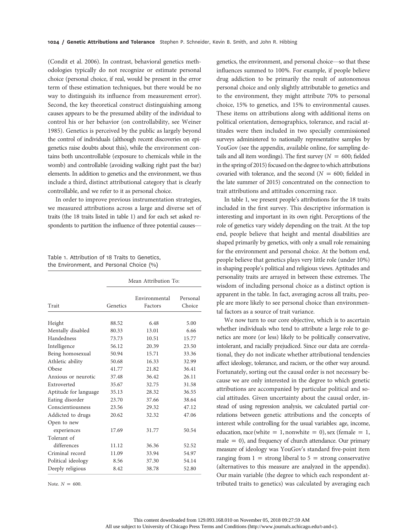(Condit et al. 2006). In contrast, behavioral genetics methodologies typically do not recognize or estimate personal choice (personal choice, if real, would be present in the error term of these estimation techniques, but there would be no way to distinguish its influence from measurement error). Second, the key theoretical construct distinguishing among causes appears to be the presumed ability of the individual to control his or her behavior (on controllability, see Weiner 1985). Genetics is perceived by the public as largely beyond the control of individuals (although recent discoveries on epigenetics raise doubts about this), while the environment contains both uncontrollable (exposure to chemicals while in the womb) and controllable (avoiding walking right past the bar) elements. In addition to genetics and the environment, we thus include a third, distinct attributional category that is clearly controllable, and we refer to it as personal choice.

In order to improve previous instrumentation strategies, we measured attributions across a large and diverse set of traits (the 18 traits listed in table 1) and for each set asked respondents to partition the influence of three potential causes—

Table 1. Attribution of 18 Traits to Genetics, the Environment, and Personal Choice (%)

|                       | Mean Attribution To: |                          |                    |  |  |  |
|-----------------------|----------------------|--------------------------|--------------------|--|--|--|
| Trait                 | Genetics             | Environmental<br>Factors | Personal<br>Choice |  |  |  |
|                       |                      |                          |                    |  |  |  |
| Height                | 88.52                | 6.48                     | 5.00               |  |  |  |
| Mentally disabled     | 80.33                | 13.01                    | 6.66               |  |  |  |
| Handedness            | 73.73                | 10.51                    | 15.77              |  |  |  |
| Intelligence          | 56.12                | 20.39                    | 23.50              |  |  |  |
| Being homosexual      | 50.94                | 15.71                    | 33.36              |  |  |  |
| Athletic ability      | 50.68                | 16.33                    | 32.99              |  |  |  |
| Obese                 | 41.77                | 21.82                    | 36.41              |  |  |  |
| Anxious or neurotic   | 37.48                | 36.42                    | 26.11              |  |  |  |
| Extroverted           | 35.67                | 32.75                    | 31.58              |  |  |  |
| Aptitude for language | 35.13                | 28.32                    | 36.55              |  |  |  |
| Eating disorder       | 23.70                | 37.66                    | 38.64              |  |  |  |
| Conscientiousness     | 23.56                | 29.32                    | 47.12              |  |  |  |
| Addicted to drugs     | 20.62                | 32.32                    | 47.06              |  |  |  |
| Open to new           |                      |                          |                    |  |  |  |
| experiences           | 17.69                | 31.77                    | 50.54              |  |  |  |
| Tolerant of           |                      |                          |                    |  |  |  |
| differences           | 11.12                | 36.36                    | 52.52              |  |  |  |
| Criminal record       | 11.09                | 33.94                    | 54.97              |  |  |  |
| Political ideology    | 8.56                 | 37.30                    | 54.14              |  |  |  |
| Deeply religious      | 8.42                 | 38.78                    | 52.80              |  |  |  |

Note.  $N = 600$ .

genetics, the environment, and personal choice—so that these influences summed to 100%. For example, if people believe drug addiction to be primarily the result of autonomous personal choice and only slightly attributable to genetics and to the environment, they might attribute 70% to personal choice, 15% to genetics, and 15% to environmental causes. These items on attributions along with additional items on political orientation, demographics, tolerance, and racial attitudes were then included in two specially commissioned surveys administered to nationally representative samples by YouGov (see the appendix, available online, for sampling details and all item wordings). The first survey ( $N = 600$ ; fielded in the spring of 2015) focused on the degree to which attributions covaried with tolerance, and the second ( $N = 600$ ; fielded in the late summer of 2015) concentrated on the connection to trait attributions and attitudes concerning race.

In table 1, we present people's attributions for the 18 traits included in the first survey. This descriptive information is interesting and important in its own right. Perceptions of the role of genetics vary widely depending on the trait. At the top end, people believe that height and mental disabilities are shaped primarily by genetics, with only a small role remaining for the environment and personal choice. At the bottom end, people believe that genetics plays very little role (under 10%) in shaping people's political and religious views. Aptitudes and personality traits are arrayed in between these extremes. The wisdom of including personal choice as a distinct option is apparent in the table. In fact, averaging across all traits, people are more likely to see personal choice than environmental factors as a source of trait variance.

We now turn to our core objective, which is to ascertain whether individuals who tend to attribute a large role to genetics are more (or less) likely to be politically conservative, intolerant, and racially prejudiced. Since our data are correlational, they do not indicate whether attributional tendencies affect ideology, tolerance, and racism, or the other way around. Fortunately, sorting out the causal order is not necessary because we are only interested in the degree to which genetic attributions are accompanied by particular political and social attitudes. Given uncertainty about the causal order, instead of using regression analysis, we calculated partial correlations between genetic attributions and the concepts of interest while controlling for the usual variables: age, income, education, race (white = 1, nonwhite = 0), sex (female = 1, male  $= 0$ ), and frequency of church attendance. Our primary measure of ideology was YouGov's standard five-point item ranging from  $1 =$  strong liberal to  $5 =$  strong conservative (alternatives to this measure are analyzed in the appendix). Our main variable (the degree to which each respondent attributed traits to genetics) was calculated by averaging each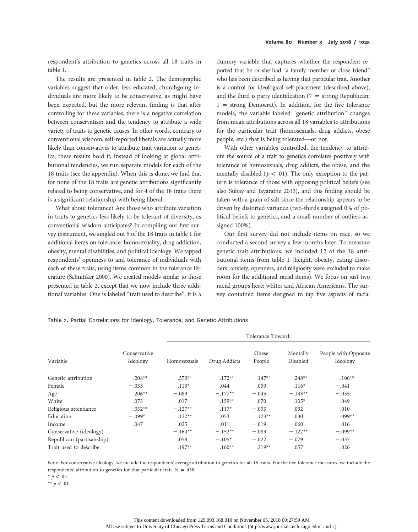respondent's attribution to genetics across all 18 traits in table 1.

The results are presented in table 2. The demographic variables suggest that older, less educated, churchgoing individuals are more likely to be conservative, as might have been expected, but the more relevant finding is that after controlling for these variables, there is a negative correlation between conservatism and the tendency to attribute a wide variety of traits to genetic causes. In other words, contrary to conventional wisdom, self-reported liberals are actually more likely than conservatives to attribute trait variation to genetics; these results hold if, instead of looking at global attributional tendencies, we run separate models for each of the 18 traits (see the appendix). When this is done, we find that for none of the 18 traits are genetic attributions significantly related to being conservative, and for 4 of the 18 traits there is a significant relationship with being liberal.

What about tolerance? Are those who attribute variation in traits to genetics less likely to be tolerant of diversity, as conventional wisdom anticipates? In compiling our first survey instrument, we singled out 5 of the 18 traits in table 1 for additional items on tolerance: homosexuality, drug addiction, obesity, mental disabilities, and political ideology. We tapped respondents' openness to and tolerance of individuals with each of these traits, using items common in the tolerance literature (Schnittker 2000). We created models similar to those presented in table 2, except that we now include three additional variables. One is labeled "trait used to describe"; it is a

dummy variable that captures whether the respondent reported that he or she had "a family member or close friend" who has been described as having that particular trait. Another is a control for ideological self-placement (described above), and the third is party identification ( $7 =$  strong Republican;  $1 =$  strong Democrat). In addition, for the five tolerance models, the variable labeled "genetic attribution" changes from mean attributions across all 18 variables to attributions for the particular trait (homosexuals, drug addicts, obese people, etc.) that is being tolerated—or not.

With other variables controlled, the tendency to attribute the source of a trait to genetics correlates positively with tolerance of homosexuals, drug addicts, the obese, and the mentally disabled ( $p < .01$ ). The only exception to the pattern is tolerance of those with opposing political beliefs (see also Suhay and Jayaratne 2013), and this finding should be taken with a grain of salt since the relationship appears to be driven by distorted variance (two-thirds assigned 0% of political beliefs to genetics, and a small number of outliers assigned 100%).

Our first survey did not include items on race, so we conducted a second survey a few months later. To measure genetic trait attributions, we included 12 of the 18 attributional items from table 1 (height, obesity, eating disorders, anxiety, openness, and religiosity were excluded to make room for the additional racial items). We focus on just two racial groups here: whites and African Americans. The survey contained items designed to tap five aspects of racial

Table 2. Partial Correlations for Ideology, Tolerance, and Genetic Attributions

| Variable                  |                          | Tolerance Toward: |              |                 |                      |                                  |  |
|---------------------------|--------------------------|-------------------|--------------|-----------------|----------------------|----------------------------------|--|
|                           | Conservative<br>Ideology | Homosexuals       | Drug Addicts | Obese<br>People | Mentally<br>Disabled | People with Opposite<br>Ideology |  |
| Genetic attribution       | $-.208**$                | $.370**$          | $.172**$     | $.147**$        | $.248**$             | $-.106**$                        |  |
| Female                    | $-.033$                  | $.113*$           | .044         | .059            | $.116*$              | $-.041$                          |  |
| Age                       | $.206**$                 | $-.089$           | $-.177**$    | $-.045$         | $-.143**$            | $-.055$                          |  |
| White                     | .073                     | $-.017$           | $.159**$     | .070            | $.105*$              | .049                             |  |
| Religious attendance      | $.332**$                 | $-.127**$         | $.117*$      | $-.053$         | .092                 | .010                             |  |
| Education                 | $-.099*$                 | $.122**$          | .053         | $.123**$        | .030                 | $.099**$                         |  |
| Income                    | .047                     | .025              | $-.011$      | $-.019$         | $-.060$              | .016                             |  |
| Conservative (ideology)   |                          | $-.164**$         | $-.152**$    | $-.083$         | $-.122**$            | $-.099**$                        |  |
| Republican (partisanship) |                          | .058              | $-.105*$     | $-.022$         | $-.079$              | $-.037$                          |  |
| Trait used to describe    |                          | $.197**$          | $.160**$     | $.219**$        | .057                 | .026                             |  |

Note. For conservative ideology, we include the respondents' average attribution to genetics for all 18 traits. For the five tolerance measures, we include the respondents' attribution to genetics for that particular trait.  $N = 458$ .

\*  $p < .05$ .

\*\*  $p < .01$ .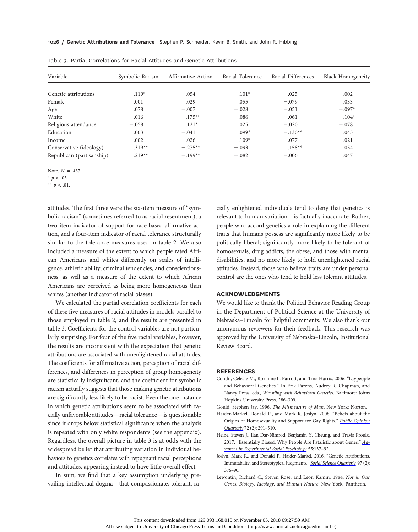| Variable                  | Symbolic Racism | Affirmative Action | Racial Tolerance | Racial Differences | <b>Black Homogeneity</b> |
|---------------------------|-----------------|--------------------|------------------|--------------------|--------------------------|
| Genetic attributions      |                 |                    |                  |                    |                          |
|                           | $-.119*$        | .054               | $-.101*$         | $-.025$            | .002                     |
| Female                    | .001            | .029               | .055             | $-.079$            | .033                     |
| Age                       | .078            | $-.007$            | $-.028$          | $-.051$            | $-.097*$                 |
| White                     | .016            | $-.175**$          | .086             | $-.061$            | $.104*$                  |
| Religious attendance      | $-.058$         | $.121*$            | .025             | $-.020$            | $-.078$                  |
| Education                 | .003            | $-.041$            | $.099*$          | $-.130**$          | .045                     |
| Income                    | .002            | $-.026$            | $.109*$          | .077               | $-.021$                  |
| Conservative (ideology)   | $.319**$        | $-.275**$          | $-.093$          | $.158**$           | .054                     |
| Republican (partisanship) | $.219**$        | $-.199**$          | $-.082$          | $-.006$            | .047                     |

| Table 3. Partial Correlations for Racial Attitudes and Genetic Attributions |  |  |  |  |  |  |  |
|-----------------------------------------------------------------------------|--|--|--|--|--|--|--|
|-----------------------------------------------------------------------------|--|--|--|--|--|--|--|

Note.  $N = 437$ .

\*  $p < .05$ .

\*\*  $p < .01$ .

attitudes. The first three were the six-item measure of "symbolic racism" (sometimes referred to as racial resentment), a two-item indicator of support for race-based affirmative action, and a four-item indicator of racial tolerance structurally similar to the tolerance measures used in table 2. We also included a measure of the extent to which people rated African Americans and whites differently on scales of intelligence, athletic ability, criminal tendencies, and conscientiousness, as well as a measure of the extent to which African Americans are perceived as being more homogeneous than whites (another indicator of racial biases).

We calculated the partial correlation coefficients for each of these five measures of racial attitudes in models parallel to those employed in table 2, and the results are presented in table 3. Coefficients for the control variables are not particularly surprising. For four of the five racial variables, however, the results are inconsistent with the expectation that genetic attributions are associated with unenlightened racial attitudes. The coefficients for affirmative action, perception of racial differences, and differences in perception of group homogeneity are statistically insignificant, and the coefficient for symbolic racism actually suggests that those making genetic attributions are significantly less likely to be racist. Even the one instance in which genetic attributions seem to be associated with racially unfavorable attitudes—racial tolerance—is questionable since it drops below statistical significance when the analysis is repeated with only white respondents (see the appendix). Regardless, the overall picture in table 3 is at odds with the widespread belief that attributing variation in individual behaviors to genetics correlates with repugnant racial perceptions and attitudes, appearing instead to have little overall effect.

In sum, we find that a key assumption underlying prevailing intellectual dogma—that compassionate, tolerant, racially enlightened individuals tend to deny that genetics is relevant to human variation—is factually inaccurate. Rather, people who accord genetics a role in explaining the different traits that humans possess are significantly more likely to be politically liberal; significantly more likely to be tolerant of homosexuals, drug addicts, the obese, and those with mental disabilities; and no more likely to hold unenlightened racial attitudes. Instead, those who believe traits are under personal control are the ones who tend to hold less tolerant attitudes.

#### ACKNOWLEDGMENTS

We would like to thank the Political Behavior Reading Group in the Department of Political Science at the University of Nebraska–Lincoln for helpful comments. We also thank our anonymous reviewers for their feedback. This research was approved by the University of Nebraska–Lincoln, Institutional Review Board.

#### **REFERENCES**

- Condit, Celeste M., Roxanne L. Parrott, and Tina Harris. 2006. "Laypeople and Behavioral Genetics." In Erik Parens, Audrey R. Chapman, and Nancy Press, eds., Wrestling with Behavioral Genetics. Baltimore: Johns Hopkins University Press, 286–309.
- Gould, Stephen Jay. 1996. The Mismeasure of Man. New York: Norton.
- Haider-Markel, Donald P., and Mark R. Joslyn. 2008. "Beliefs about the Origins of Homosexuality and Support for Gay Rights." [Public Opinion](https://www.journals.uchicago.edu/action/showLinks?doi=10.1086%2F696860&crossref=10.1093%2Fpoq%2Fnfn015&citationId=p_3) [Quarterly](https://www.journals.uchicago.edu/action/showLinks?doi=10.1086%2F696860&crossref=10.1093%2Fpoq%2Fnfn015&citationId=p_3) 72 (2): 291–310.
- Heine, Steven J., Ilan Dar-Nimrod, Benjamin Y. Cheung, and Travis Proulx. 2017. "Essentially Biased: Why People Are Fatalistic about Genes." [Ad](https://www.journals.uchicago.edu/action/showLinks?doi=10.1086%2F696860&crossref=10.1016%2Fbs.aesp.2016.10.003&citationId=p_5)[vances in Experimental Social Psychology](https://www.journals.uchicago.edu/action/showLinks?doi=10.1086%2F696860&crossref=10.1016%2Fbs.aesp.2016.10.003&citationId=p_5) 55:137–92.
- Joslyn, Mark R., and Donald P. Haider-Markel. 2016. "Genetic Attributions, Immutability, and Stereotypical Judgments." [Social Science Quarterly](https://www.journals.uchicago.edu/action/showLinks?doi=10.1086%2F696860&crossref=10.1111%2Fssqu.12263&citationId=p_6) 97 (2): 376–90.
- Lewontin, Richard C., Steven Rose, and Leon Kamin. 1984. Not in Our Genes: Biology, Ideology, and Human Nature. New York: Pantheon.